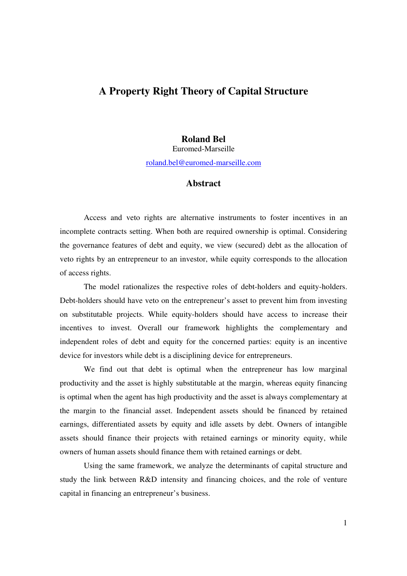# **A Property Right Theory of Capital Structure**

## **Roland Bel**

Euromed-Marseille roland.bel@euromed-marseille.com

## **Abstract**

Access and veto rights are alternative instruments to foster incentives in an incomplete contracts setting. When both are required ownership is optimal. Considering the governance features of debt and equity, we view (secured) debt as the allocation of veto rights by an entrepreneur to an investor, while equity corresponds to the allocation of access rights.

The model rationalizes the respective roles of debt-holders and equity-holders. Debt-holders should have veto on the entrepreneur's asset to prevent him from investing on substitutable projects. While equity-holders should have access to increase their incentives to invest. Overall our framework highlights the complementary and independent roles of debt and equity for the concerned parties: equity is an incentive device for investors while debt is a disciplining device for entrepreneurs.

We find out that debt is optimal when the entrepreneur has low marginal productivity and the asset is highly substitutable at the margin, whereas equity financing is optimal when the agent has high productivity and the asset is always complementary at the margin to the financial asset. Independent assets should be financed by retained earnings, differentiated assets by equity and idle assets by debt. Owners of intangible assets should finance their projects with retained earnings or minority equity, while owners of human assets should finance them with retained earnings or debt.

Using the same framework, we analyze the determinants of capital structure and study the link between R&D intensity and financing choices, and the role of venture capital in financing an entrepreneur's business.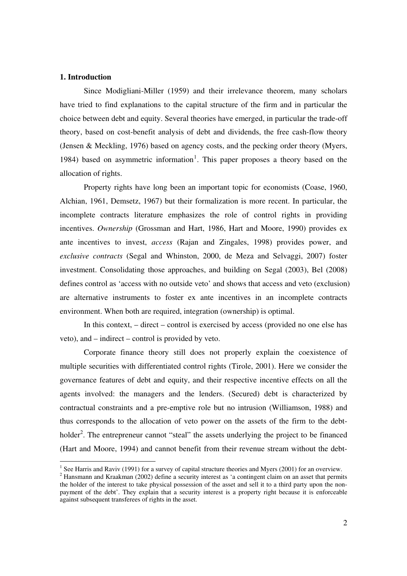#### **1. Introduction**

-

Since Modigliani-Miller (1959) and their irrelevance theorem, many scholars have tried to find explanations to the capital structure of the firm and in particular the choice between debt and equity. Several theories have emerged, in particular the trade-off theory, based on cost-benefit analysis of debt and dividends, the free cash-flow theory (Jensen & Meckling, 1976) based on agency costs, and the pecking order theory (Myers, 1984) based on asymmetric information<sup>1</sup>. This paper proposes a theory based on the allocation of rights.

Property rights have long been an important topic for economists (Coase, 1960, Alchian, 1961, Demsetz, 1967) but their formalization is more recent. In particular, the incomplete contracts literature emphasizes the role of control rights in providing incentives. *Ownership* (Grossman and Hart, 1986, Hart and Moore, 1990) provides ex ante incentives to invest, *access* (Rajan and Zingales, 1998) provides power, and *exclusive contracts* (Segal and Whinston, 2000, de Meza and Selvaggi, 2007) foster investment. Consolidating those approaches, and building on Segal (2003), Bel (2008) defines control as 'access with no outside veto' and shows that access and veto (exclusion) are alternative instruments to foster ex ante incentives in an incomplete contracts environment. When both are required, integration (ownership) is optimal.

In this context, – direct – control is exercised by access (provided no one else has veto), and – indirect – control is provided by veto.

Corporate finance theory still does not properly explain the coexistence of multiple securities with differentiated control rights (Tirole, 2001). Here we consider the governance features of debt and equity, and their respective incentive effects on all the agents involved: the managers and the lenders. (Secured) debt is characterized by contractual constraints and a pre-emptive role but no intrusion (Williamson, 1988) and thus corresponds to the allocation of veto power on the assets of the firm to the debtholder<sup>2</sup>. The entrepreneur cannot "steal" the assets underlying the project to be financed (Hart and Moore, 1994) and cannot benefit from their revenue stream without the debt-

<sup>&</sup>lt;sup>1</sup> See Harris and Raviv (1991) for a survey of capital structure theories and Myers (2001) for an overview.

 $2$  Hansmann and Kraakman (2002) define a security interest as 'a contingent claim on an asset that permits the holder of the interest to take physical possession of the asset and sell it to a third party upon the nonpayment of the debt'. They explain that a security interest is a property right because it is enforceable against subsequent transferees of rights in the asset.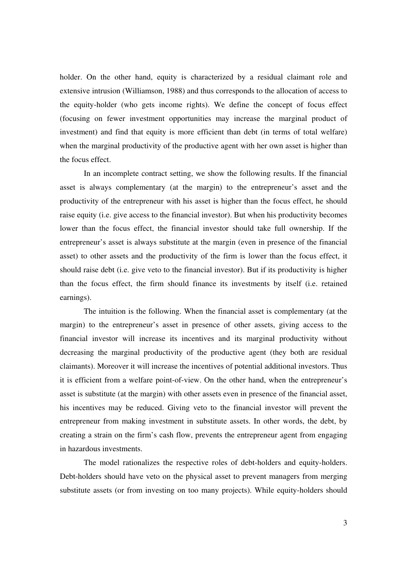holder. On the other hand, equity is characterized by a residual claimant role and extensive intrusion (Williamson, 1988) and thus corresponds to the allocation of access to the equity-holder (who gets income rights). We define the concept of focus effect (focusing on fewer investment opportunities may increase the marginal product of investment) and find that equity is more efficient than debt (in terms of total welfare) when the marginal productivity of the productive agent with her own asset is higher than the focus effect.

In an incomplete contract setting, we show the following results. If the financial asset is always complementary (at the margin) to the entrepreneur's asset and the productivity of the entrepreneur with his asset is higher than the focus effect, he should raise equity (i.e. give access to the financial investor). But when his productivity becomes lower than the focus effect, the financial investor should take full ownership. If the entrepreneur's asset is always substitute at the margin (even in presence of the financial asset) to other assets and the productivity of the firm is lower than the focus effect, it should raise debt (i.e. give veto to the financial investor). But if its productivity is higher than the focus effect, the firm should finance its investments by itself (i.e. retained earnings).

The intuition is the following. When the financial asset is complementary (at the margin) to the entrepreneur's asset in presence of other assets, giving access to the financial investor will increase its incentives and its marginal productivity without decreasing the marginal productivity of the productive agent (they both are residual claimants). Moreover it will increase the incentives of potential additional investors. Thus it is efficient from a welfare point-of-view. On the other hand, when the entrepreneur's asset is substitute (at the margin) with other assets even in presence of the financial asset, his incentives may be reduced. Giving veto to the financial investor will prevent the entrepreneur from making investment in substitute assets. In other words, the debt, by creating a strain on the firm's cash flow, prevents the entrepreneur agent from engaging in hazardous investments.

The model rationalizes the respective roles of debt-holders and equity-holders. Debt-holders should have veto on the physical asset to prevent managers from merging substitute assets (or from investing on too many projects). While equity-holders should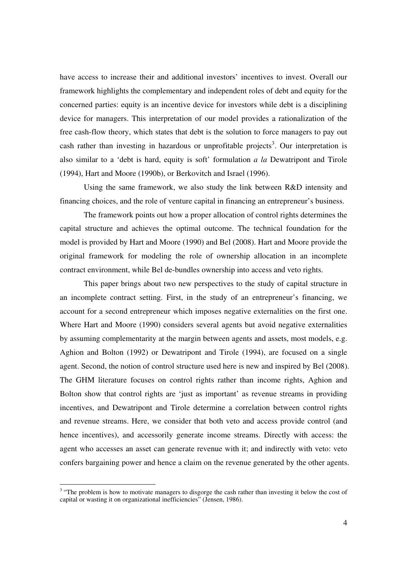have access to increase their and additional investors' incentives to invest. Overall our framework highlights the complementary and independent roles of debt and equity for the concerned parties: equity is an incentive device for investors while debt is a disciplining device for managers. This interpretation of our model provides a rationalization of the free cash-flow theory, which states that debt is the solution to force managers to pay out cash rather than investing in hazardous or unprofitable projects<sup>3</sup>. Our interpretation is also similar to a 'debt is hard, equity is soft' formulation *a la* Dewatripont and Tirole (1994), Hart and Moore (1990b), or Berkovitch and Israel (1996).

Using the same framework, we also study the link between R&D intensity and financing choices, and the role of venture capital in financing an entrepreneur's business.

The framework points out how a proper allocation of control rights determines the capital structure and achieves the optimal outcome. The technical foundation for the model is provided by Hart and Moore (1990) and Bel (2008). Hart and Moore provide the original framework for modeling the role of ownership allocation in an incomplete contract environment, while Bel de-bundles ownership into access and veto rights.

This paper brings about two new perspectives to the study of capital structure in an incomplete contract setting. First, in the study of an entrepreneur's financing, we account for a second entrepreneur which imposes negative externalities on the first one. Where Hart and Moore (1990) considers several agents but avoid negative externalities by assuming complementarity at the margin between agents and assets, most models, e.g. Aghion and Bolton (1992) or Dewatripont and Tirole (1994), are focused on a single agent. Second, the notion of control structure used here is new and inspired by Bel (2008). The GHM literature focuses on control rights rather than income rights, Aghion and Bolton show that control rights are 'just as important' as revenue streams in providing incentives, and Dewatripont and Tirole determine a correlation between control rights and revenue streams. Here, we consider that both veto and access provide control (and hence incentives), and accessorily generate income streams. Directly with access: the agent who accesses an asset can generate revenue with it; and indirectly with veto: veto confers bargaining power and hence a claim on the revenue generated by the other agents.

<sup>&</sup>lt;sup>3</sup> "The problem is how to motivate managers to disgorge the cash rather than investing it below the cost of capital or wasting it on organizational inefficiencies" (Jensen, 1986).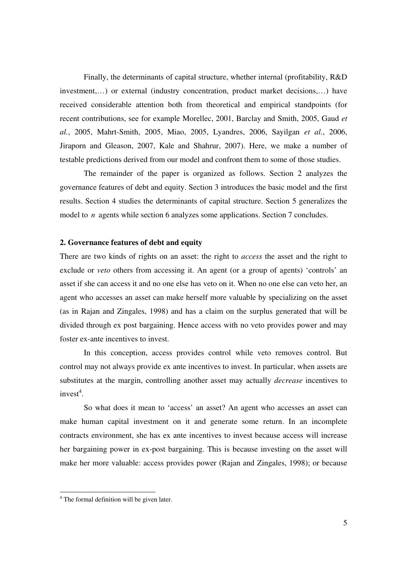Finally, the determinants of capital structure, whether internal (profitability, R&D investment,…) or external (industry concentration, product market decisions,…) have received considerable attention both from theoretical and empirical standpoints (for recent contributions, see for example Morellec, 2001, Barclay and Smith, 2005, Gaud *et al.*, 2005, Mahrt-Smith, 2005, Miao, 2005, Lyandres, 2006, Sayilgan *et al.*, 2006, Jiraporn and Gleason, 2007, Kale and Shahrur, 2007). Here, we make a number of testable predictions derived from our model and confront them to some of those studies.

The remainder of the paper is organized as follows. Section 2 analyzes the governance features of debt and equity. Section 3 introduces the basic model and the first results. Section 4 studies the determinants of capital structure. Section 5 generalizes the model to *n* agents while section 6 analyzes some applications. Section 7 concludes.

#### **2. Governance features of debt and equity**

There are two kinds of rights on an asset: the right to *access* the asset and the right to exclude or *veto* others from accessing it. An agent (or a group of agents) 'controls' an asset if she can access it and no one else has veto on it. When no one else can veto her, an agent who accesses an asset can make herself more valuable by specializing on the asset (as in Rajan and Zingales, 1998) and has a claim on the surplus generated that will be divided through ex post bargaining. Hence access with no veto provides power and may foster ex-ante incentives to invest.

In this conception, access provides control while veto removes control. But control may not always provide ex ante incentives to invest. In particular, when assets are substitutes at the margin, controlling another asset may actually *decrease* incentives to  $invest<sup>4</sup>$ .

So what does it mean to 'access' an asset? An agent who accesses an asset can make human capital investment on it and generate some return. In an incomplete contracts environment, she has ex ante incentives to invest because access will increase her bargaining power in ex-post bargaining. This is because investing on the asset will make her more valuable: access provides power (Rajan and Zingales, 1998); or because

 4 The formal definition will be given later.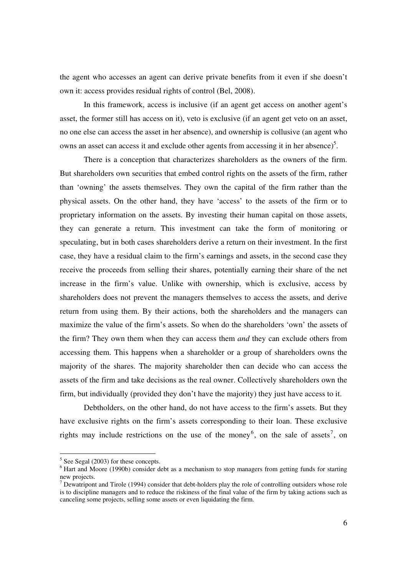the agent who accesses an agent can derive private benefits from it even if she doesn't own it: access provides residual rights of control (Bel, 2008).

In this framework, access is inclusive (if an agent get access on another agent's asset, the former still has access on it), veto is exclusive (if an agent get veto on an asset, no one else can access the asset in her absence), and ownership is collusive (an agent who owns an asset can access it and exclude other agents from accessing it in her absence)<sup>5</sup>.

There is a conception that characterizes shareholders as the owners of the firm. But shareholders own securities that embed control rights on the assets of the firm, rather than 'owning' the assets themselves. They own the capital of the firm rather than the physical assets. On the other hand, they have 'access' to the assets of the firm or to proprietary information on the assets. By investing their human capital on those assets, they can generate a return. This investment can take the form of monitoring or speculating, but in both cases shareholders derive a return on their investment. In the first case, they have a residual claim to the firm's earnings and assets, in the second case they receive the proceeds from selling their shares, potentially earning their share of the net increase in the firm's value. Unlike with ownership, which is exclusive, access by shareholders does not prevent the managers themselves to access the assets, and derive return from using them. By their actions, both the shareholders and the managers can maximize the value of the firm's assets. So when do the shareholders 'own' the assets of the firm? They own them when they can access them *and* they can exclude others from accessing them. This happens when a shareholder or a group of shareholders owns the majority of the shares. The majority shareholder then can decide who can access the assets of the firm and take decisions as the real owner. Collectively shareholders own the firm, but individually (provided they don't have the majority) they just have access to it.

 Debtholders, on the other hand, do not have access to the firm's assets. But they have exclusive rights on the firm's assets corresponding to their loan. These exclusive rights may include restrictions on the use of the money<sup>6</sup>, on the sale of assets<sup>7</sup>, on

-

 $<sup>5</sup>$  See Segal (2003) for these concepts.</sup>

<sup>&</sup>lt;sup>6</sup> Hart and Moore (1990b) consider debt as a mechanism to stop managers from getting funds for starting new projects.

<sup>&</sup>lt;sup>7</sup> Dewatripont and Tirole (1994) consider that debt-holders play the role of controlling outsiders whose role is to discipline managers and to reduce the riskiness of the final value of the firm by taking actions such as canceling some projects, selling some assets or even liquidating the firm.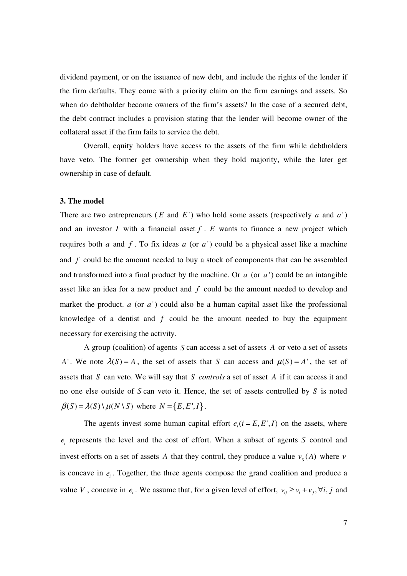dividend payment, or on the issuance of new debt, and include the rights of the lender if the firm defaults. They come with a priority claim on the firm earnings and assets. So when do debtholder become owners of the firm's assets? In the case of a secured debt, the debt contract includes a provision stating that the lender will become owner of the collateral asset if the firm fails to service the debt.

 Overall, equity holders have access to the assets of the firm while debtholders have veto. The former get ownership when they hold majority, while the later get ownership in case of default.

#### **3. The model**

There are two entrepreneurs ( $E$  and  $E'$ ) who hold some assets (respectively  $a$  and  $a'$ ) and an investor *I* with a financial asset  $f \cdot E$  wants to finance a new project which requires both *a* and *f* . To fix ideas *a* (or *a* ') could be a physical asset like a machine and *f* could be the amount needed to buy a stock of components that can be assembled and transformed into a final product by the machine. Or *a* (or *a* ') could be an intangible asset like an idea for a new product and *f* could be the amount needed to develop and market the product. *a* (or *a* ') could also be a human capital asset like the professional knowledge of a dentist and *f* could be the amount needed to buy the equipment necessary for exercising the activity.

 A group (coalition) of agents *S* can access a set of assets *A* or veto a set of assets *A*'. We note  $\lambda(S) = A$ , the set of assets that *S* can access and  $\mu(S) = A$ ', the set of assets that *S* can veto. We will say that *S controls* a set of asset *A* if it can access it and no one else outside of *S* can veto it. Hence, the set of assets controlled by *S* is noted  $\beta(S) = \lambda(S) \setminus \mu(N \setminus S)$  where  $N = \{E, E', I\}.$ 

The agents invest some human capital effort  $e_i$  ( $i = E, E', I$ ) on the assets, where  $e_i$  represents the level and the cost of effort. When a subset of agents *S* control and invest efforts on a set of assets A that they control, they produce a value  $v_s(A)$  where *v* is concave in  $e_i$ . Together, the three agents compose the grand coalition and produce a value *V*, concave in  $e_i$ . We assume that, for a given level of effort,  $v_{ij} \ge v_i + v_j$ ,  $\forall i, j$  and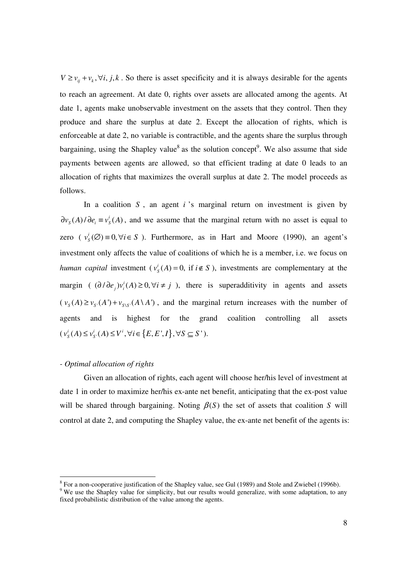$V \ge v_{ii} + v_k$ ,  $\forall i, j, k$ . So there is asset specificity and it is always desirable for the agents to reach an agreement. At date 0, rights over assets are allocated among the agents. At date 1, agents make unobservable investment on the assets that they control. Then they produce and share the surplus at date 2. Except the allocation of rights, which is enforceable at date 2, no variable is contractible, and the agents share the surplus through bargaining, using the Shapley value<sup>8</sup> as the solution concept<sup>9</sup>. We also assume that side payments between agents are allowed, so that efficient trading at date 0 leads to an allocation of rights that maximizes the overall surplus at date 2. The model proceeds as follows.

In a coalition *S* , an agent *i* 's marginal return on investment is given by  $\partial v_s(A)/\partial e_i \equiv v_s^i(A)$ , and we assume that the marginal return with no asset is equal to zero (  $v_s^i(\emptyset) \equiv 0, \forall i \in S$ ). Furthermore, as in Hart and Moore (1990), an agent's investment only affects the value of coalitions of which he is a member, i.e. we focus on *human capital* investment ( $v_s^i(A) = 0$ , if  $i \notin S$ ), investments are complementary at the margin (  $(\partial/\partial e_j)v_i^i(A) \ge 0, \forall i \ne j$  ), there is superadditivity in agents and assets  $(\nu_s(A) \ge \nu_{s}(A') + \nu_{s \setminus s}(A \setminus A')$ , and the marginal return increases with the number of agents and is highest for the grand coalition controlling all assets  $(v_s^i(A) \le v_{s'}^i(A) \le V^i, \forall i \in \{E, E', I\}, \forall S \subseteq S'$ ).

## *- Optimal allocation of rights*

l

Given an allocation of rights, each agent will choose her/his level of investment at date 1 in order to maximize her/his ex-ante net benefit, anticipating that the ex-post value will be shared through bargaining. Noting  $\beta(S)$  the set of assets that coalition *S* will control at date 2, and computing the Shapley value, the ex-ante net benefit of the agents is:

 $8$  For a non-cooperative justification of the Shapley value, see Gul (1989) and Stole and Zwiebel (1996b).

<sup>&</sup>lt;sup>9</sup> We use the Shapley value for simplicity, but our results would generalize, with some adaptation, to any fixed probabilistic distribution of the value among the agents.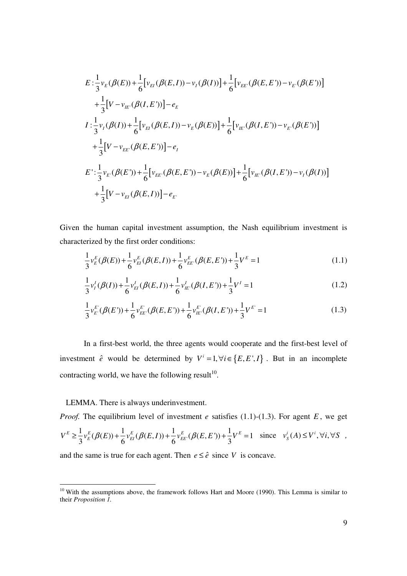$$
E: \frac{1}{3}v_{E}(\beta(E)) + \frac{1}{6}[v_{EI}(\beta(E,I)) - v_{I}(\beta(I))] + \frac{1}{6}[v_{EE}(\beta(E,E')) - v_{E}(\beta(E'))]
$$
  
+ 
$$
\frac{1}{3}[V - v_{IE}(\beta(I,E'))] - e_{E}
$$
  

$$
I: \frac{1}{3}v_{I}(\beta(I)) + \frac{1}{6}[v_{EI}(\beta(E,I)) - v_{E}(\beta(E))] + \frac{1}{6}[v_{IE}(\beta(I,E')) - v_{E}(\beta(E'))]
$$
  
+ 
$$
\frac{1}{3}[V - v_{EE}(\beta(E,E'))] - e_{I}
$$
  

$$
E': \frac{1}{3}v_{E'}(\beta(E')) + \frac{1}{6}[v_{EE}(\beta(E,E')) - v_{E}(\beta(E))] + \frac{1}{6}[v_{IE}(\beta(I,E')) - v_{I}(\beta(I))]
$$
  
+ 
$$
\frac{1}{3}[V - v_{EI}(\beta(E,I))] - e_{E'}
$$

Given the human capital investment assumption, the Nash equilibrium investment is characterized by the first order conditions:

$$
\frac{1}{3}v_{E}^{E}(\beta(E)) + \frac{1}{6}v_{EI}^{E}(\beta(E,I)) + \frac{1}{6}v_{EE}^{E}(\beta(E,E')) + \frac{1}{3}V^{E} = 1
$$
\n(1.1)

$$
\frac{1}{3}v_I^I(\beta(I)) + \frac{1}{6}v_{EI}^I(\beta(E,I)) + \frac{1}{6}v_{IE}^I(\beta(I,E')) + \frac{1}{3}V^I = 1
$$
\n(1.2)

$$
\frac{1}{3}v_{E}^{E}(\beta(E')) + \frac{1}{6}v_{EE}^{E}(\beta(E,E')) + \frac{1}{6}v_{E}^{E}(\beta(I,E')) + \frac{1}{3}V^{E'} = 1
$$
\n(1.3)

In a first-best world, the three agents would cooperate and the first-best level of investment  $\hat{e}$  would be determined by  $V^i = 1, \forall i \in \{E, E^i, I\}$ . But in an incomplete contracting world, we have the following result<sup>10</sup>.

#### LEMMA. There is always underinvestment.

l

*Proof.* The equilibrium level of investment *e* satisfies  $(1.1)-(1.3)$ . For agent *E*, we get  $\frac{1}{2}v_{E}^{E}(\beta(E)) + \frac{1}{\epsilon}v_{E}^{E}(\beta(E,I)) + \frac{1}{\epsilon}v_{E}^{E}(\beta(E,E')) + \frac{1}{2}V^{E} = 1$  $V^{E} \geq \frac{1}{3} v_{E}^{E}(\beta(E)) + \frac{1}{6} v_{EI}^{E}(\beta(E, I)) + \frac{1}{6} v_{EE}^{E}(\beta(E, E')) + \frac{1}{3} V^{E} = 1$  since  $v_{S}^{i}(A) \leq V^{i}, \forall i, \forall S$ ,

and the same is true for each agent. Then  $e \leq \hat{e}$  since *V* is concave.

<sup>&</sup>lt;sup>10</sup> With the assumptions above, the framework follows Hart and Moore (1990). This Lemma is similar to their *Proposition 1.*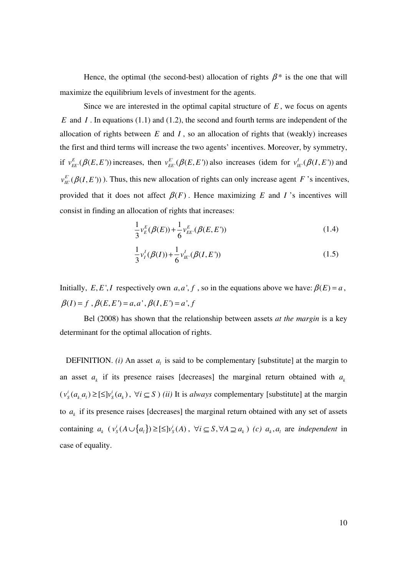Hence, the optimal (the second-best) allocation of rights  $\beta^*$  is the one that will maximize the equilibrium levels of investment for the agents.

Since we are interested in the optimal capital structure of *E* , we focus on agents *E* and *I* . In equations (1.1) and (1.2), the second and fourth terms are independent of the allocation of rights between  $E$  and  $I$ , so an allocation of rights that (weakly) increases the first and third terms will increase the two agents' incentives. Moreover, by symmetry, if  $v_{EE}^E(\beta(E, E'))$  increases, then  $v_{EE}^E(\beta(E, E'))$  also increases (idem for  $v_{IE}^I(\beta(I, E'))$  and  $v_{E}^{E}(\beta(I, E'))$ ). Thus, this new allocation of rights can only increase agent *F* 's incentives, provided that it does not affect  $\beta(F)$ . Hence maximizing *E* and *I*'s incentives will consist in finding an allocation of rights that increases:

$$
\frac{1}{3}v_{E}^{E}(\beta(E)) + \frac{1}{6}v_{EE}^{E}(\beta(E,E')) \tag{1.4}
$$

$$
\frac{1}{3}v_I^I(\beta(I)) + \frac{1}{6}v_{I\!E}^I(\beta(I,E'))\tag{1.5}
$$

Initially, *E*, *E'*, *I* respectively own *a*, *a'*, *f*, so in the equations above we have:  $\beta(E) = a$ ,  $\beta(I) = f$ ,  $\beta(E, E') = a, a'$ ,  $\beta(I, E') = a'$ , *f* 

Bel (2008) has shown that the relationship between assets *at the margin* is a key determinant for the optimal allocation of rights.

DEFINITION. *(i)* An asset  $a_i$  is said to be complementary [substitute] at the margin to an asset  $a_k$  if its presence raises [decreases] the marginal return obtained with  $a_k$  $(v_s^i(a_k, a_l) \geq [\leq] v_s^i(a_k), \forall i \subseteq S$  *(ii)* It is *always* complementary [substitute] at the margin to  $a_k$  if its presence raises [decreases] the marginal return obtained with any set of assets containing  $a_k$  ( $v_s^i(A \cup \{a_l\}) \geq [\leq] v_s^i(A)$ ,  $\forall i \subseteq S, \forall A \supseteq a_k$ ) *(c)*  $a_k, a_l$  are *independent* in case of equality.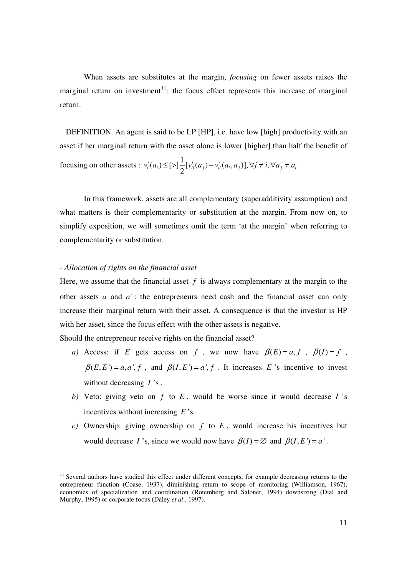When assets are substitutes at the margin, *focusing* on fewer assets raises the marginal return on investment<sup>11</sup>: the focus effect represents this increase of marginal return.

 DEFINITION. An agent is said to be LP [HP], i.e. have low [high] productivity with an asset if her marginal return with the asset alone is lower [higher] than half the benefit of focusing on other assets :  $v_i^i(a_i) \leq [ \geq ]\frac{1}{2} [v_{ii}^i(a_i) - v_{ii}^i(a_i, a_i)], \forall j \neq i$ , 2  $v_i^i(a_i)$  ≤ [>] $\frac{1}{2} [v_{ij}^i(a_j) - v_{ij}^i(a_i, a_j)]$ , ∀*j* ≠ *i*, ∀  $a_j \neq a_i$ 

In this framework, assets are all complementary (superadditivity assumption) and what matters is their complementarity or substitution at the margin. From now on, to simplify exposition, we will sometimes omit the term 'at the margin' when referring to complementarity or substitution.

#### *- Allocation of rights on the financial asset*

l

Here, we assume that the financial asset  $f$  is always complementary at the margin to the other assets  $a$  and  $a'$ : the entrepreneurs need cash and the financial asset can only increase their marginal return with their asset. A consequence is that the investor is HP with her asset, since the focus effect with the other assets is negative.

Should the entrepreneur receive rights on the financial asset?

- *a)* Access: if *E* gets access on *f*, we now have  $\beta(E) = a, f$ ,  $\beta(I) = f$ ,  $\beta(E, E') = a, a', f$ , and  $\beta(I, E') = a', f$ . It increases *E*'s incentive to invest without decreasing *I* 's .
- *b)* Veto: giving veto on *f* to *E* , would be worse since it would decrease *I* 's incentives without increasing *E* 's.
- *c)* Ownership: giving ownership on *f* to *E* , would increase his incentives but would decrease *I* 's, since we would now have  $\beta(I) = \emptyset$  and  $\beta(I, E') = a'$ .

<sup>&</sup>lt;sup>11</sup> Several authors have studied this effect under different concepts, for example decreasing returns to the entrepreneur function (Coase, 1937), diminishing return to scope of monitoring (Williamson, 1967), economies of specialization and coordination (Rotemberg and Saloner, 1994) downsizing (Dial and Murphy, 1995) or corporate focus (Daley *et al*., 1997).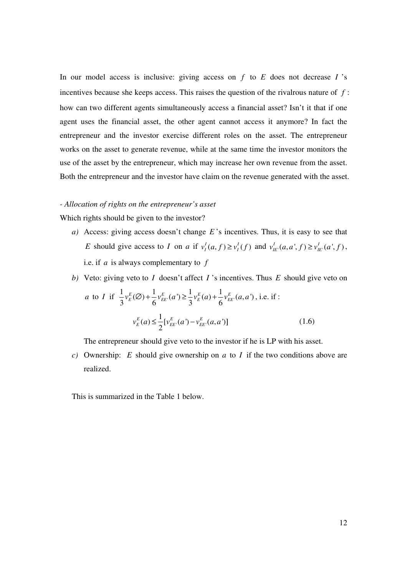In our model access is inclusive: giving access on *f* to *E* does not decrease *I* 's incentives because she keeps access. This raises the question of the rivalrous nature of *f* : how can two different agents simultaneously access a financial asset? Isn't it that if one agent uses the financial asset, the other agent cannot access it anymore? In fact the entrepreneur and the investor exercise different roles on the asset. The entrepreneur works on the asset to generate revenue, while at the same time the investor monitors the use of the asset by the entrepreneur, which may increase her own revenue from the asset. Both the entrepreneur and the investor have claim on the revenue generated with the asset.

#### *- Allocation of rights on the entrepreneur's asset*

Which rights should be given to the investor?

- *a)* Access: giving access doesn't change *E* 's incentives. Thus, it is easy to see that *E* should give access to *I* on *a* if  $v_l^I(a, f) \ge v_l^I(f)$  and  $v_{lE'}^I(a, a', f) \ge v_{lE'}^I(a', f)$ , i.e. if *a* is always complementary to *f*
- *b)* Veto: giving veto to *I* doesn't affect *I* 's incentives. Thus *E* should give veto on *a* to *I* if  $\frac{1}{2}v_{E}^{E}(\emptyset) + \frac{1}{6}v_{EE}^{E}(a') \geq \frac{1}{2}v_{E}^{E}(a) + \frac{1}{6}v_{EE}^{E}(a,a')$  $3^{E(1)}$  6  $^{E(1)}$  3  $^{E(1)}$  6  $v_{E}^{E}(\emptyset) + \frac{1}{\epsilon}v_{EE}^{E}(a^{r}) \geq \frac{1}{2}v_{E}^{E}(a) + \frac{1}{\epsilon}v_{EE}^{E}(a,a^{r})$ , i.e. if :  $\mathcal{U}$   $\mathcal{V}$   $\mathcal{E}$   $\mathcal{E}$  $(a) \leq \frac{1}{2} [v_{EE'}^{E}(a') - v_{EE'}^{E}(a,a')]$ 2  $v_E^E(a) \leq \frac{1}{2} [v_{EE}^E(a') - v_{EE}^E(a, a')]$  (1.6)

The entrepreneur should give veto to the investor if he is LP with his asset.

*c)* Ownership: *E* should give ownership on *a* to *I* if the two conditions above are realized.

This is summarized in the Table 1 below.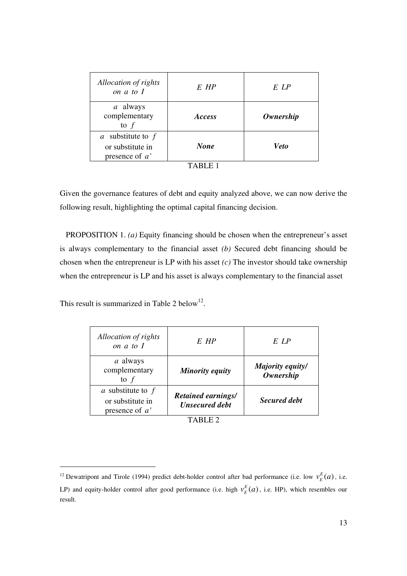| Allocation of rights<br>on a to I                           | $E$ $HP$       | E LP        |
|-------------------------------------------------------------|----------------|-------------|
| a always<br>complementary<br>to $f$                         | <i>Access</i>  | Ownership   |
| a substitute to $f$<br>or substitute in<br>presence of $a'$ | <b>None</b>    | <b>Veto</b> |
|                                                             | <b>TABLE 1</b> |             |

|  | m |  |  |
|--|---|--|--|
|--|---|--|--|

Given the governance features of debt and equity analyzed above, we can now derive the following result, highlighting the optimal capital financing decision.

PROPOSITION 1. *(a)* Equity financing should be chosen when the entrepreneur's asset is always complementary to the financial asset *(b)* Secured debt financing should be chosen when the entrepreneur is LP with his asset *(c)* The investor should take ownership when the entrepreneur is LP and his asset is always complementary to the financial asset

This result is summarized in Table 2 below<sup>12</sup>.

 $\overline{\phantom{a}}$ 

l

| Allocation of rights<br>on $a$ to $I$                     | $E$ HP                                             | E LP                                 |  |
|-----------------------------------------------------------|----------------------------------------------------|--------------------------------------|--|
| a always<br>complementary<br>to $f$                       | Minority equity                                    | Majority equity/<br><b>Ownership</b> |  |
| a substitute to f<br>or substitute in<br>presence of $a'$ | <b>Retained earnings/</b><br><b>Unsecured debt</b> | <b>Secured debt</b>                  |  |
|                                                           |                                                    |                                      |  |

<sup>&</sup>lt;sup>12</sup> Dewatripont and Tirole (1994) predict debt-holder control after bad performance (i.e. low  $v_E^E(a)$ , i.e. LP) and equity-holder control after good performance (i.e. high  $v_E^E(a)$ , i.e. HP), which resembles our result.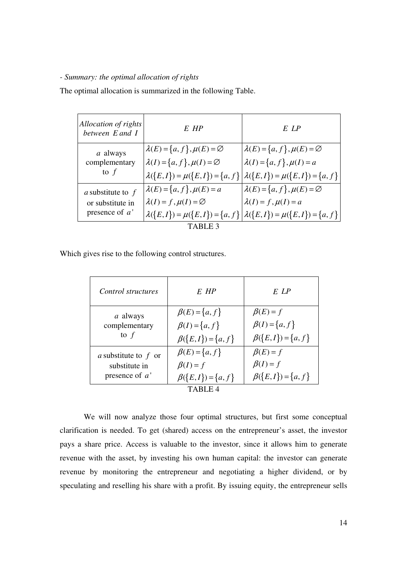#### *- Summary: the optimal allocation of rights*

The optimal allocation is summarized in the following Table.

| Allocation of rights<br>between E and I | $E$ HP                                        | E LP                                                                              |  |
|-----------------------------------------|-----------------------------------------------|-----------------------------------------------------------------------------------|--|
| a always                                | $\lambda(E) = \{a, f\}, \mu(E) = \varnothing$ | $\lambda(E) = \{a, f\}, \mu(E) = \emptyset$                                       |  |
| complementary                           | $\lambda(I) = \{a, f\}, \mu(I) = \varnothing$ | $\lambda(I) = \{a, f\}, \mu(I) = a$                                               |  |
| to $f$                                  |                                               | $\lambda({E, I}) = \mu({E, I}) = {a, f}   \lambda({E, I}) = \mu({E, I}) = {a, f}$ |  |
| a substitute to f                       | $\lambda(E) = \{a, f\}, \mu(E) = a$           | $\lambda(E) = \{a, f\}, \mu(E) = \emptyset$                                       |  |
| or substitute in                        | $\lambda(I) = f, \mu(I) = \varnothing$        | $\lambda(I) = f, \mu(I) = a$                                                      |  |
| presence of $a'$                        |                                               | $\lambda({E, I}) = \mu({E, I}) = {a, f}   \lambda({E, I}) = \mu({E, I}) = {a, f}$ |  |
| TABLE <sub>3</sub>                      |                                               |                                                                                   |  |

Which gives rise to the following control structures.

| Control structures     | $E$ HP                   | E LP                     |
|------------------------|--------------------------|--------------------------|
| a always               | $\beta(E) = \{a, f\}$    | $\beta(E) = f$           |
| complementary          | $\beta(I) = \{a, f\}$    | $\beta(I) = \{a, f\}$    |
| to $f$                 | $\beta({E, I}) = {a, f}$ | $\beta({E, I}) = {a, f}$ |
| a substitute to $f$ or | $\beta(E) = \{a, f\}$    | $\beta(E) = f$           |
| substitute in          | $\beta(I) = f$           | $\beta(I) = f$           |
| presence of $a'$       | $\beta({E, I}) = {a, f}$ | $\beta({E, I}) = {a, f}$ |
|                        | TABLE 4                  |                          |

We will now analyze those four optimal structures, but first some conceptual clarification is needed. To get (shared) access on the entrepreneur's asset, the investor pays a share price. Access is valuable to the investor, since it allows him to generate revenue with the asset, by investing his own human capital: the investor can generate revenue by monitoring the entrepreneur and negotiating a higher dividend, or by speculating and reselling his share with a profit. By issuing equity, the entrepreneur sells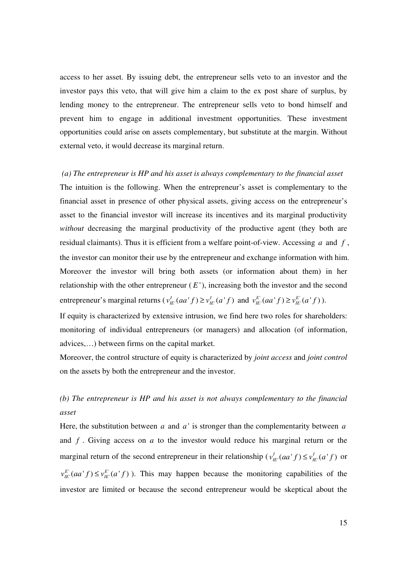access to her asset. By issuing debt, the entrepreneur sells veto to an investor and the investor pays this veto, that will give him a claim to the ex post share of surplus, by lending money to the entrepreneur. The entrepreneur sells veto to bond himself and prevent him to engage in additional investment opportunities. These investment opportunities could arise on assets complementary, but substitute at the margin. Without external veto, it would decrease its marginal return.

 *(a) The entrepreneur is HP and his asset is always complementary to the financial asset*  The intuition is the following. When the entrepreneur's asset is complementary to the financial asset in presence of other physical assets, giving access on the entrepreneur's asset to the financial investor will increase its incentives and its marginal productivity *without* decreasing the marginal productivity of the productive agent (they both are residual claimants). Thus it is efficient from a welfare point-of-view. Accessing *a* and *f* , the investor can monitor their use by the entrepreneur and exchange information with him. Moreover the investor will bring both assets (or information about them) in her relationship with the other entrepreneur  $(E')$ , increasing both the investor and the second entrepreneur's marginal returns  $(v_{IE}^I (aa^t f) \ge v_{IE}^I (a^t f)$  and  $v_{IE}^{E'} (aa^t f) \ge v_{IE}^{E'} (a^t f)$ .

If equity is characterized by extensive intrusion, we find here two roles for shareholders: monitoring of individual entrepreneurs (or managers) and allocation (of information, advices,…) between firms on the capital market.

Moreover, the control structure of equity is characterized by *joint access* and *joint control* on the assets by both the entrepreneur and the investor.

# *(b) The entrepreneur is HP and his asset is not always complementary to the financial asset*

Here, the substitution between *a* and *a* ' is stronger than the complementarity between *a* and *f* . Giving access on *a* to the investor would reduce his marginal return or the marginal return of the second entrepreneur in their relationship ( $v_{I}^{I}(aa'f) \le v_{I}^{I}(a'f)$ ) or  $v_{E}^{E'}(aa' f) \le v_{E'}^{E'}(a' f)$ ). This may happen because the monitoring capabilities of the investor are limited or because the second entrepreneur would be skeptical about the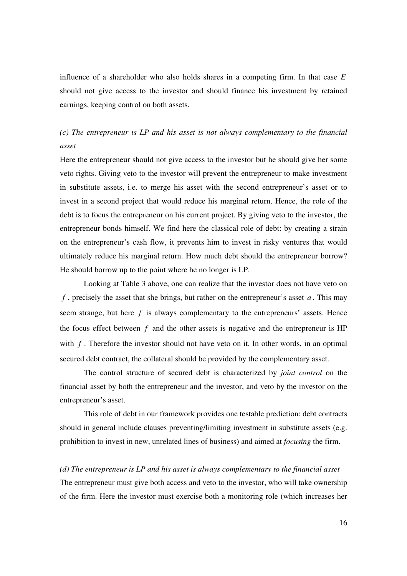influence of a shareholder who also holds shares in a competing firm. In that case *E* should not give access to the investor and should finance his investment by retained earnings, keeping control on both assets.

## *(c) The entrepreneur is LP and his asset is not always complementary to the financial asset*

Here the entrepreneur should not give access to the investor but he should give her some veto rights. Giving veto to the investor will prevent the entrepreneur to make investment in substitute assets, i.e. to merge his asset with the second entrepreneur's asset or to invest in a second project that would reduce his marginal return. Hence, the role of the debt is to focus the entrepreneur on his current project. By giving veto to the investor, the entrepreneur bonds himself. We find here the classical role of debt: by creating a strain on the entrepreneur's cash flow, it prevents him to invest in risky ventures that would ultimately reduce his marginal return. How much debt should the entrepreneur borrow? He should borrow up to the point where he no longer is LP.

Looking at Table 3 above, one can realize that the investor does not have veto on *f* , precisely the asset that she brings, but rather on the entrepreneur's asset *a* . This may seem strange, but here *f* is always complementary to the entrepreneurs' assets. Hence the focus effect between  $f$  and the other assets is negative and the entrepreneur is  $HP$ with *f*. Therefore the investor should not have veto on it. In other words, in an optimal secured debt contract, the collateral should be provided by the complementary asset.

The control structure of secured debt is characterized by *joint control* on the financial asset by both the entrepreneur and the investor, and veto by the investor on the entrepreneur's asset.

This role of debt in our framework provides one testable prediction: debt contracts should in general include clauses preventing/limiting investment in substitute assets (e.g. prohibition to invest in new, unrelated lines of business) and aimed at *focusing* the firm.

*(d) The entrepreneur is LP and his asset is always complementary to the financial asset*  The entrepreneur must give both access and veto to the investor, who will take ownership of the firm. Here the investor must exercise both a monitoring role (which increases her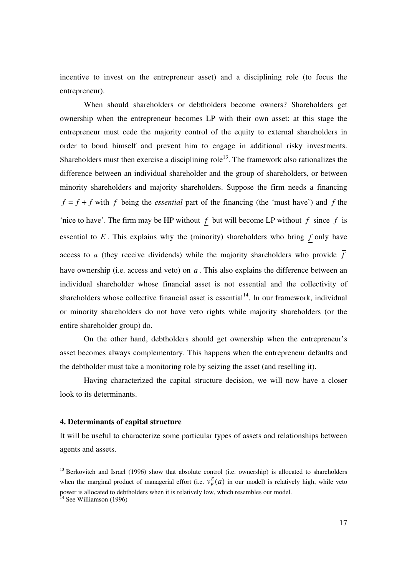incentive to invest on the entrepreneur asset) and a disciplining role (to focus the entrepreneur).

When should shareholders or debtholders become owners? Shareholders get ownership when the entrepreneur becomes LP with their own asset: at this stage the entrepreneur must cede the majority control of the equity to external shareholders in order to bond himself and prevent him to engage in additional risky investments. Shareholders must then exercise a disciplining role<sup>13</sup>. The framework also rationalizes the difference between an individual shareholder and the group of shareholders, or between minority shareholders and majority shareholders. Suppose the firm needs a financing  $f = \overline{f} + f$  with  $\overline{f}$  being the *essential* part of the financing (the 'must have') and *f* the 'nice to have'. The firm may be HP without  $f$  but will become LP without  $\overline{f}$  since  $\overline{f}$  is essential to  $E$ . This explains why the (minority) shareholders who bring  $f$  only have access to *a* (they receive dividends) while the majority shareholders who provide  $\overline{f}$ have ownership (i.e. access and veto) on *a* . This also explains the difference between an individual shareholder whose financial asset is not essential and the collectivity of shareholders whose collective financial asset is essential<sup>14</sup>. In our framework, individual or minority shareholders do not have veto rights while majority shareholders (or the entire shareholder group) do.

On the other hand, debtholders should get ownership when the entrepreneur's asset becomes always complementary. This happens when the entrepreneur defaults and the debtholder must take a monitoring role by seizing the asset (and reselling it).

Having characterized the capital structure decision, we will now have a closer look to its determinants.

#### **4. Determinants of capital structure**

It will be useful to characterize some particular types of assets and relationships between agents and assets.

l

<sup>&</sup>lt;sup>13</sup> Berkovitch and Israel (1996) show that absolute control (i.e. ownership) is allocated to shareholders when the marginal product of managerial effort (i.e.  $v_E^E(a)$  in our model) is relatively high, while veto power is allocated to debtholders when it is relatively low, which resembles our model.

<sup>&</sup>lt;sup>14</sup> See Williamson (1996)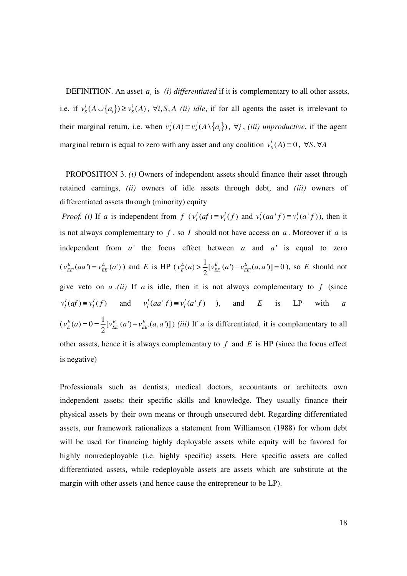DEFINITION. An asset  $a_i$  is *(i) differentiated* if it is complementary to all other assets, i.e. if  $v_s^i(A \cup \{a_i\}) \ge v_s^i(A)$ ,  $\forall i, S, A$  *(ii) idle*, if for all agents the asset is irrelevant to their marginal return, i.e. when  $v_s^j(A) \equiv v_s^j(A \setminus \{a_i\})$ ,  $\forall j$ , *(iii) unproductive*, if the agent marginal return is equal to zero with any asset and any coalition  $v_s^i(A) \equiv 0$ ,  $\forall S, \forall A$ 

 PROPOSITION 3. *(i)* Owners of independent assets should finance their asset through retained earnings, *(ii)* owners of idle assets through debt, and *(iii)* owners of differentiated assets through (minority) equity

*Proof. (i)* If *a* is independent from  $f(v_i^I(af) \equiv v_i^I(f))$  and  $v_i^I(aa^t f) \equiv v_i^I(a^t f)$ , then it is not always complementary to *f* , so *I* should not have access on *a* . Moreover if *a* is independent from  $a'$  the focus effect between  $a$  and  $a'$  is equal to zero  $(v_{EE}^{E}(aa') = v_{EE}^{E}(a'))$  and *E* is HP  $(v_{E}^{E}(a) > \frac{1}{2}[v_{EE}^{E}(a') - v_{EE}^{E}(a,a')]$ 2  $v_E^E(a)$  >  $\frac{1}{2} [v_{EE}^E(a') - v_{EE}^E(a, a')] = 0$ , so *E* should not give veto on  $a \cdot (ii)$  If  $a$  is idle, then it is not always complementary to  $f$  (since  $v_I^I(af) \equiv v_I^I(f)$  and  $v_I^I(aa^*f) \equiv v_I^I(a^*f)$  ), and *E* is LP with *a*  $(v_E^E(a) = 0 = \frac{1}{2} [v_{EE}^E(a') - v_{EE}^E]$  $\mathcal{L}(a) = 0 = \frac{1}{2} [v_{EE}^{E}(a') - v_{EE}^{E}(a,a')]$ 2  $v_E^E(a) = 0 = \frac{1}{2} [v_{EE}^E(a') - v_{EE}^E(a, a')]$ ) *(iii)* If *a* is differentiated, it is complementary to all other assets, hence it is always complementary to *f* and *E* is HP (since the focus effect is negative)

Professionals such as dentists, medical doctors, accountants or architects own independent assets: their specific skills and knowledge. They usually finance their physical assets by their own means or through unsecured debt. Regarding differentiated assets, our framework rationalizes a statement from Williamson (1988) for whom debt will be used for financing highly deployable assets while equity will be favored for highly nonredeployable (i.e. highly specific) assets. Here specific assets are called differentiated assets, while redeployable assets are assets which are substitute at the margin with other assets (and hence cause the entrepreneur to be LP).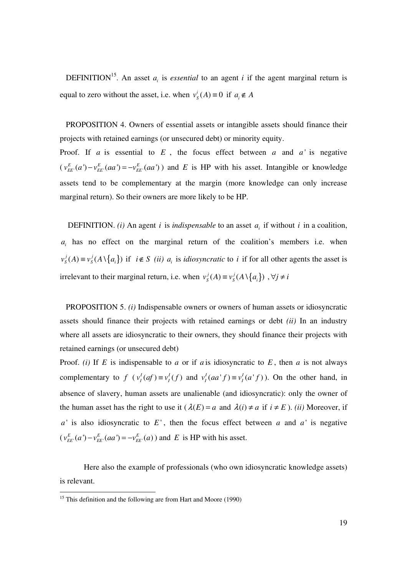DEFINITION<sup>15</sup>. An asset  $a_i$  is *essential* to an agent *i* if the agent marginal return is equal to zero without the asset, i.e. when  $v_s^i(A) \equiv 0$  if  $a_i \notin A$ 

 PROPOSITION 4. Owners of essential assets or intangible assets should finance their projects with retained earnings (or unsecured debt) or minority equity. Proof. If *a* is essential to  $E$ , the focus effect between *a* and  $a'$  is negative  $(v_{EE}^{E}(a') - v_{EE}^{E}(aa') = -v_{EE}^{E}(aa'))$  and *E* is HP with his asset. Intangible or knowledge assets tend to be complementary at the margin (more knowledge can only increase marginal return). So their owners are more likely to be HP.

DEFINITION. *(i)* An agent *i* is *indispensable* to an asset  $a_i$  if without *i* in a coalition,  $a_i$  has no effect on the marginal return of the coalition's members i.e. when  $v_s^j(A) \equiv v_s^j(A \setminus \{a_i\})$  if  $i \notin S$  *(ii)*  $a_i$  is *idiosyncratic* to *i* if for all other agents the asset is irrelevant to their marginal return, i.e. when  $v_s^j(A) \equiv v_s^j(A) \{ a_i \}$ ,  $\forall j \neq i$ 

 PROPOSITION 5. *(i)* Indispensable owners or owners of human assets or idiosyncratic assets should finance their projects with retained earnings or debt *(ii)* In an industry where all assets are idiosyncratic to their owners, they should finance their projects with retained earnings (or unsecured debt)

Proof. *(i)* If *E* is indispensable to *a* or if *a* is idiosyncratic to *E*, then *a* is not always complementary to  $f(v_l^I(af)) \equiv v_l^I(f)$  and  $v_l^I(aa^{\dagger}f) \equiv v_l^I(a^{\dagger}f)$ . On the other hand, in absence of slavery, human assets are unalienable (and idiosyncratic): only the owner of the human asset has the right to use it  $(\lambda(E) = a$  and  $\lambda(i) \neq a$  if  $i \neq E$ ). *(ii)* Moreover, if  $a'$  is also idiosyncratic to  $E'$ , then the focus effect between *a* and  $a'$  is negative  $(v_{EE}^E(a') - v_{EE}^E(aa') = -v_{EE}^E(a))$  and *E* is HP with his asset.

 Here also the example of professionals (who own idiosyncratic knowledge assets) is relevant.

l

 $15$  This definition and the following are from Hart and Moore (1990)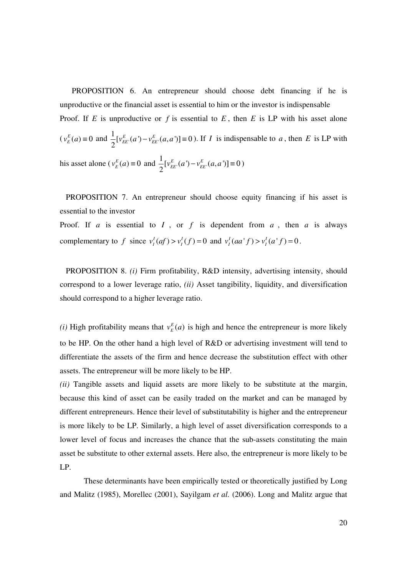PROPOSITION 6. An entrepreneur should choose debt financing if he is unproductive or the financial asset is essential to him or the investor is indispensable Proof. If  $E$  is unproductive or  $f$  is essential to  $E$ , then  $E$  is LP with his asset alone  $(v_{E}^{E}(a)) \equiv 0$  and  $\frac{1}{2} [v_{EE}^{E}(a') - v_{EE}^{E}(a, a')]$ 2  $v_{EE}^{E}(a') - v_{EE}^{E}(a,a') \equiv 0$ . If *I* is indispensable to *a*, then *E* is LP with his asset alone ( $v_E^E(a) \equiv 0$  and  $\frac{1}{2} [v_{EE}^E(a') - v_{EE'}^E(a,a')]$  $v_{EE}^E(a') - v_{EE}^E(a, a') \equiv 0$ )

 PROPOSITION 7. An entrepreneur should choose equity financing if his asset is essential to the investor

2

Proof. If *a* is essential to *I*, or *f* is dependent from *a*, then *a* is always complementary to f since  $v_I^I (af) > v_I^I (f) = 0$  and  $v_I^I (aa^T f) > v_I^I (a^T f) = 0$ .

 PROPOSITION 8. *(i)* Firm profitability, R&D intensity, advertising intensity, should correspond to a lower leverage ratio, *(ii)* Asset tangibility, liquidity, and diversification should correspond to a higher leverage ratio.

*(i)* High profitability means that  $v_E^E(a)$  is high and hence the entrepreneur is more likely to be HP. On the other hand a high level of R&D or advertising investment will tend to differentiate the assets of the firm and hence decrease the substitution effect with other assets. The entrepreneur will be more likely to be HP.

*(ii)* Tangible assets and liquid assets are more likely to be substitute at the margin, because this kind of asset can be easily traded on the market and can be managed by different entrepreneurs. Hence their level of substitutability is higher and the entrepreneur is more likely to be LP. Similarly, a high level of asset diversification corresponds to a lower level of focus and increases the chance that the sub-assets constituting the main asset be substitute to other external assets. Here also, the entrepreneur is more likely to be LP.

These determinants have been empirically tested or theoretically justified by Long and Malitz (1985), Morellec (2001), Sayilgam *et al.* (2006). Long and Malitz argue that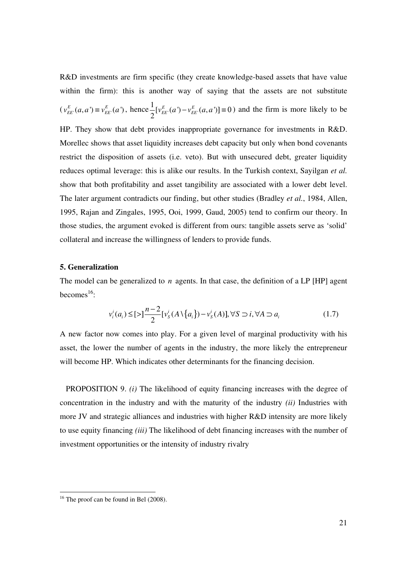R&D investments are firm specific (they create knowledge-based assets that have value within the firm): this is another way of saying that the assets are not substitute  $(v_{EE}^{E}(a, a') \equiv v_{EE}^{E}(a')$ , hence  $\frac{1}{2} [v_{EE}^{E}(a') - v_{EE}^{E}(a, a')]$ 2  $v_{EE}^{E}(a') - v_{EE}^{E}(a, a') \equiv 0$ ) and the firm is more likely to be HP. They show that debt provides inappropriate governance for investments in R&D. Morellec shows that asset liquidity increases debt capacity but only when bond covenants restrict the disposition of assets (i.e. veto). But with unsecured debt, greater liquidity reduces optimal leverage: this is alike our results. In the Turkish context, Sayilgan *et al.* show that both profitability and asset tangibility are associated with a lower debt level. The later argument contradicts our finding, but other studies (Bradley *et al.*, 1984, Allen, 1995, Rajan and Zingales, 1995, Ooi, 1999, Gaud, 2005) tend to confirm our theory. In those studies, the argument evoked is different from ours: tangible assets serve as 'solid' collateral and increase the willingness of lenders to provide funds.

#### **5. Generalization**

The model can be generalized to *n* agents. In that case, the definition of a LP [HP] agent becomes $^{16}$ :

$$
v_i^i(a_i) \le [ \ge ] \frac{n-2}{2} [v_s^i(A \setminus \{a_i\}) - v_s^i(A)], \forall S \supset i, \forall A \supset a_i
$$
 (1.7)

A new factor now comes into play. For a given level of marginal productivity with his asset, the lower the number of agents in the industry, the more likely the entrepreneur will become HP. Which indicates other determinants for the financing decision.

 PROPOSITION 9. *(i)* The likelihood of equity financing increases with the degree of concentration in the industry and with the maturity of the industry *(ii)* Industries with more JV and strategic alliances and industries with higher R&D intensity are more likely to use equity financing *(iii)* The likelihood of debt financing increases with the number of investment opportunities or the intensity of industry rivalry

l

 $16$  The proof can be found in Bel (2008).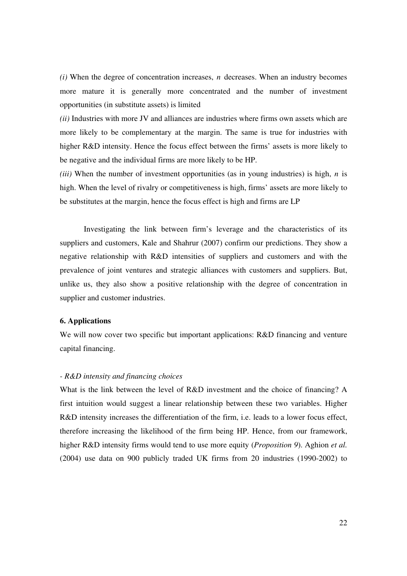*(i)* When the degree of concentration increases, *n* decreases. When an industry becomes more mature it is generally more concentrated and the number of investment opportunities (in substitute assets) is limited

*(ii)* Industries with more JV and alliances are industries where firms own assets which are more likely to be complementary at the margin. The same is true for industries with higher R&D intensity. Hence the focus effect between the firms' assets is more likely to be negative and the individual firms are more likely to be HP.

*(iii)* When the number of investment opportunities (as in young industries) is high, *n* is high. When the level of rivalry or competitiveness is high, firms' assets are more likely to be substitutes at the margin, hence the focus effect is high and firms are LP

Investigating the link between firm's leverage and the characteristics of its suppliers and customers, Kale and Shahrur (2007) confirm our predictions. They show a negative relationship with R&D intensities of suppliers and customers and with the prevalence of joint ventures and strategic alliances with customers and suppliers. But, unlike us, they also show a positive relationship with the degree of concentration in supplier and customer industries.

### **6. Applications**

We will now cover two specific but important applications: R&D financing and venture capital financing.

#### *- R&D intensity and financing choices*

What is the link between the level of R&D investment and the choice of financing? A first intuition would suggest a linear relationship between these two variables. Higher R&D intensity increases the differentiation of the firm, i.e. leads to a lower focus effect, therefore increasing the likelihood of the firm being HP. Hence, from our framework, higher R&D intensity firms would tend to use more equity (*Proposition 9*). Aghion *et al.* (2004) use data on 900 publicly traded UK firms from 20 industries (1990-2002) to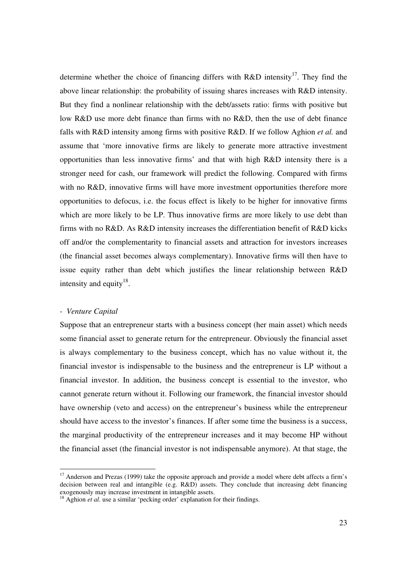determine whether the choice of financing differs with  $R&D$  intensity<sup>17</sup>. They find the above linear relationship: the probability of issuing shares increases with R&D intensity. But they find a nonlinear relationship with the debt/assets ratio: firms with positive but low R&D use more debt finance than firms with no R&D, then the use of debt finance falls with R&D intensity among firms with positive R&D. If we follow Aghion *et al.* and assume that 'more innovative firms are likely to generate more attractive investment opportunities than less innovative firms' and that with high R&D intensity there is a stronger need for cash, our framework will predict the following. Compared with firms with no R&D, innovative firms will have more investment opportunities therefore more opportunities to defocus, i.e. the focus effect is likely to be higher for innovative firms which are more likely to be LP. Thus innovative firms are more likely to use debt than firms with no R&D. As R&D intensity increases the differentiation benefit of R&D kicks off and/or the complementarity to financial assets and attraction for investors increases (the financial asset becomes always complementary). Innovative firms will then have to issue equity rather than debt which justifies the linear relationship between R&D intensity and equity<sup>18</sup>.

#### *- Venture Capital*

l

Suppose that an entrepreneur starts with a business concept (her main asset) which needs some financial asset to generate return for the entrepreneur. Obviously the financial asset is always complementary to the business concept, which has no value without it, the financial investor is indispensable to the business and the entrepreneur is LP without a financial investor. In addition, the business concept is essential to the investor, who cannot generate return without it. Following our framework, the financial investor should have ownership (veto and access) on the entrepreneur's business while the entrepreneur should have access to the investor's finances. If after some time the business is a success, the marginal productivity of the entrepreneur increases and it may become HP without the financial asset (the financial investor is not indispensable anymore). At that stage, the

<sup>&</sup>lt;sup>17</sup> Anderson and Prezas (1999) take the opposite approach and provide a model where debt affects a firm's decision between real and intangible (e.g. R&D) assets. They conclude that increasing debt financing exogenously may increase investment in intangible assets.

<sup>&</sup>lt;sup>18</sup> Aghion *et al.* use a similar 'pecking order' explanation for their findings.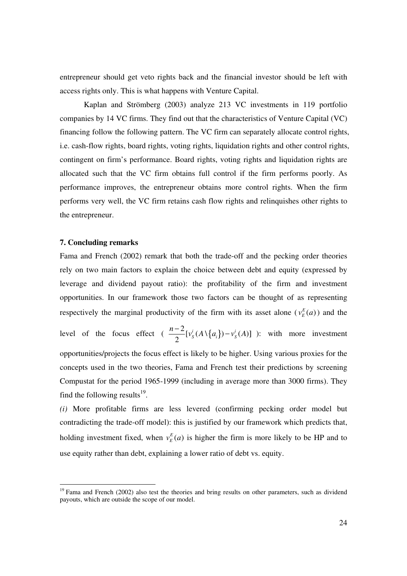entrepreneur should get veto rights back and the financial investor should be left with access rights only. This is what happens with Venture Capital.

Kaplan and Strömberg (2003) analyze 213 VC investments in 119 portfolio companies by 14 VC firms. They find out that the characteristics of Venture Capital (VC) financing follow the following pattern. The VC firm can separately allocate control rights, i.e. cash-flow rights, board rights, voting rights, liquidation rights and other control rights, contingent on firm's performance. Board rights, voting rights and liquidation rights are allocated such that the VC firm obtains full control if the firm performs poorly. As performance improves, the entrepreneur obtains more control rights. When the firm performs very well, the VC firm retains cash flow rights and relinquishes other rights to the entrepreneur.

#### **7. Concluding remarks**

l

Fama and French (2002) remark that both the trade-off and the pecking order theories rely on two main factors to explain the choice between debt and equity (expressed by leverage and dividend payout ratio): the profitability of the firm and investment opportunities. In our framework those two factors can be thought of as representing respectively the marginal productivity of the firm with its asset alone ( $v_E^E(a)$ ) and the level of the focus effect ( $\frac{n-2}{2} [\nu_s^i(A \setminus \{a_i\}) - \nu_s^i(A)]$ 2  $i \in \Lambda \setminus \Lambda$  i<sup>i</sup>  $S^{(1)}$   $(u_i)$   $v_s$  $\frac{n-2}{2} [v_s^i(A\setminus\{a_i\}) - v_s^i(A)]$  ): with more investment opportunities/projects the focus effect is likely to be higher. Using various proxies for the concepts used in the two theories, Fama and French test their predictions by screening Compustat for the period 1965-1999 (including in average more than 3000 firms). They find the following results $^{19}$ .

*(i)* More profitable firms are less levered (confirming pecking order model but contradicting the trade-off model): this is justified by our framework which predicts that, holding investment fixed, when  $v_E^E(a)$  is higher the firm is more likely to be HP and to use equity rather than debt, explaining a lower ratio of debt vs. equity.

<sup>&</sup>lt;sup>19</sup> Fama and French (2002) also test the theories and bring results on other parameters, such as dividend payouts, which are outside the scope of our model.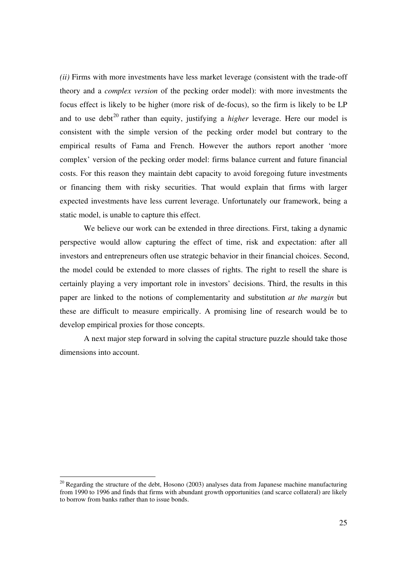*(ii)* Firms with more investments have less market leverage (consistent with the trade-off theory and a *complex version* of the pecking order model): with more investments the focus effect is likely to be higher (more risk of de-focus), so the firm is likely to be LP and to use debt<sup>20</sup> rather than equity, justifying a *higher* leverage. Here our model is consistent with the simple version of the pecking order model but contrary to the empirical results of Fama and French. However the authors report another 'more complex' version of the pecking order model: firms balance current and future financial costs. For this reason they maintain debt capacity to avoid foregoing future investments or financing them with risky securities. That would explain that firms with larger expected investments have less current leverage. Unfortunately our framework, being a static model, is unable to capture this effect.

We believe our work can be extended in three directions. First, taking a dynamic perspective would allow capturing the effect of time, risk and expectation: after all investors and entrepreneurs often use strategic behavior in their financial choices. Second, the model could be extended to more classes of rights. The right to resell the share is certainly playing a very important role in investors' decisions. Third, the results in this paper are linked to the notions of complementarity and substitution *at the margin* but these are difficult to measure empirically. A promising line of research would be to develop empirical proxies for those concepts.

 A next major step forward in solving the capital structure puzzle should take those dimensions into account.

l

 $20$  Regarding the structure of the debt, Hosono (2003) analyses data from Japanese machine manufacturing from 1990 to 1996 and finds that firms with abundant growth opportunities (and scarce collateral) are likely to borrow from banks rather than to issue bonds.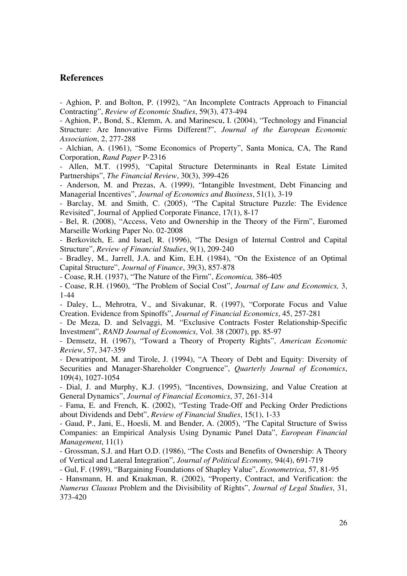## **References**

- Aghion, P. and Bolton, P. (1992), "An Incomplete Contracts Approach to Financial Contracting", *Review of Economic Studies*, 59(3), 473-494

- Aghion, P., Bond, S., Klemm, A. and Marinescu, I. (2004), "Technology and Financial Structure: Are Innovative Firms Different?", *Journal of the European Economic Association*, 2, 277-288

- Alchian, A. (1961), "Some Economics of Property", Santa Monica, CA, The Rand Corporation, *Rand Paper* P-2316

- Allen, M.T. (1995), "Capital Structure Determinants in Real Estate Limited Partnerships", *The Financial Review*, 30(3), 399-426

- Anderson, M. and Prezas, A. (1999), "Intangible Investment, Debt Financing and Managerial Incentives", *Journal of Economics and Business*, 51(1), 3-19

- Barclay, M. and Smith, C. (2005), "The Capital Structure Puzzle: The Evidence Revisited", Journal of Applied Corporate Finance, 17(1), 8-17

- Bel, R. (2008), "Access, Veto and Ownership in the Theory of the Firm", Euromed Marseille Working Paper No. 02-2008

- Berkovitch, E. and Israel, R. (1996), "The Design of Internal Control and Capital Structure", *Review of Financial Studies*, 9(1), 209-240

- Bradley, M., Jarrell, J.A. and Kim, E.H. (1984), "On the Existence of an Optimal Capital Structure", *Journal of Finance*, 39(3), 857-878

- Coase, R.H. (1937), "The Nature of the Firm", *Economica,* 386-405

- Coase, R.H. (1960), "The Problem of Social Cost", *Journal of Law and Economics,* 3, 1-44

- Daley, L., Mehrotra, V., and Sivakunar, R. (1997), "Corporate Focus and Value Creation. Evidence from Spinoffs", *Journal of Financial Economics*, 45, 257-281

- De Meza, D. and Selvaggi, M. "Exclusive Contracts Foster Relationship-Specific Investment", *RAND Journal of Economics*, Vol. 38 (2007), pp. 85-97

- Demsetz, H. (1967), "Toward a Theory of Property Rights", *American Economic Review*, 57, 347-359

- Dewatripont, M. and Tirole, J. (1994), "A Theory of Debt and Equity: Diversity of Securities and Manager-Shareholder Congruence", *Quarterly Journal of Economics*, 109(4), 1027-1054

- Dial, J. and Murphy, K.J. (1995), "Incentives, Downsizing, and Value Creation at General Dynamics", *Journal of Financial Economics*, 37, 261-314

- Fama, E. and French, K. (2002), "Testing Trade-Off and Pecking Order Predictions about Dividends and Debt", *Review of Financial Studies*, 15(1), 1-33

- Gaud, P., Jani, E., Hoesli, M. and Bender, A. (2005), "The Capital Structure of Swiss Companies: an Empirical Analysis Using Dynamic Panel Data", *European Financial Management*, 11(1)

- Grossman, S.J. and Hart O.D. (1986), "The Costs and Benefits of Ownership: A Theory of Vertical and Lateral Integration", *Journal of Political Economy,* 94(4), 691-719

- Gul, F. (1989), "Bargaining Foundations of Shapley Value", *Econometrica*, 57, 81-95

- Hansmann, H. and Kraakman, R. (2002), "Property, Contract, and Verification: the *Numerus Clausus* Problem and the Divisibility of Rights", *Journal of Legal Studies*, 31, 373-420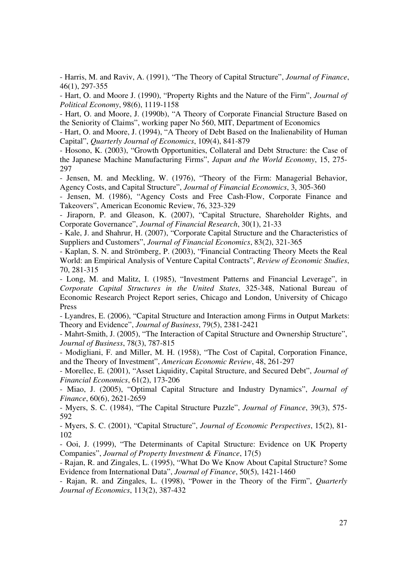- Harris, M. and Raviv, A. (1991), "The Theory of Capital Structure", *Journal of Finance*, 46(1), 297-355

- Hart, O. and Moore J. (1990), "Property Rights and the Nature of the Firm", *Journal of Political Economy*, 98(6), 1119-1158

- Hart, O. and Moore, J. (1990b), "A Theory of Corporate Financial Structure Based on the Seniority of Claims", working paper No 560, MIT, Department of Economics

- Hart, O. and Moore, J. (1994), "A Theory of Debt Based on the Inalienability of Human Capital", *Quarterly Journal of Economics*, 109(4), 841-879

- Hosono, K. (2003), "Growth Opportunities, Collateral and Debt Structure: the Case of the Japanese Machine Manufacturing Firms", *Japan and the World Economy*, 15, 275- 297

- Jensen, M. and Meckling, W. (1976), "Theory of the Firm: Managerial Behavior, Agency Costs, and Capital Structure", *Journal of Financial Economics*, 3, 305-360

- Jensen, M. (1986), "Agency Costs and Free Cash-Flow, Corporate Finance and Takeovers", American Economic Review, 76, 323-329

- Jiraporn, P. and Gleason, K. (2007), "Capital Structure, Shareholder Rights, and Corporate Governance", *Journal of Financial Research*, 30(1), 21-33

- Kale, J. and Shahrur, H. (2007), "Corporate Capital Structure and the Characteristics of Suppliers and Customers", *Journal of Financial Economics*, 83(2), 321-365

- Kaplan, S. N. and Strömberg, P. (2003), "Financial Contracting Theory Meets the Real World: an Empirical Analysis of Venture Capital Contracts", *Review of Economic Studies*, 70, 281-315

- Long, M. and Malitz, I. (1985), "Investment Patterns and Financial Leverage", in *Corporate Capital Structures in the United States*, 325-348, National Bureau of Economic Research Project Report series, Chicago and London, University of Chicago Press

- Lyandres, E. (2006), "Capital Structure and Interaction among Firms in Output Markets: Theory and Evidence", *Journal of Business*, 79(5), 2381-2421

- Mahrt-Smith, J. (2005), "The Interaction of Capital Structure and Ownership Structure", *Journal of Business*, 78(3), 787-815

- Modigliani, F. and Miller, M. H. (1958), "The Cost of Capital, Corporation Finance, and the Theory of Investment", *American Economic Review*, 48, 261-297

- Morellec, E. (2001), "Asset Liquidity, Capital Structure, and Secured Debt", *Journal of Financial Economics*, 61(2), 173-206

- Miao, J. (2005), "Optimal Capital Structure and Industry Dynamics", *Journal of Finance*, 60(6), 2621-2659

- Myers, S. C. (1984), "The Capital Structure Puzzle", *Journal of Finance*, 39(3), 575- 592

- Myers, S. C. (2001), "Capital Structure", *Journal of Economic Perspectives*, 15(2), 81- 102

- Ooi, J. (1999), "The Determinants of Capital Structure: Evidence on UK Property Companies", *Journal of Property Investment & Finance*, 17(5)

- Rajan, R. and Zingales, L. (1995), "What Do We Know About Capital Structure? Some Evidence from International Data", *Journal of Finance*, 50(5), 1421-1460

- Rajan, R. and Zingales, L. (1998), "Power in the Theory of the Firm", *Quarterly Journal of Economics*, 113(2), 387-432